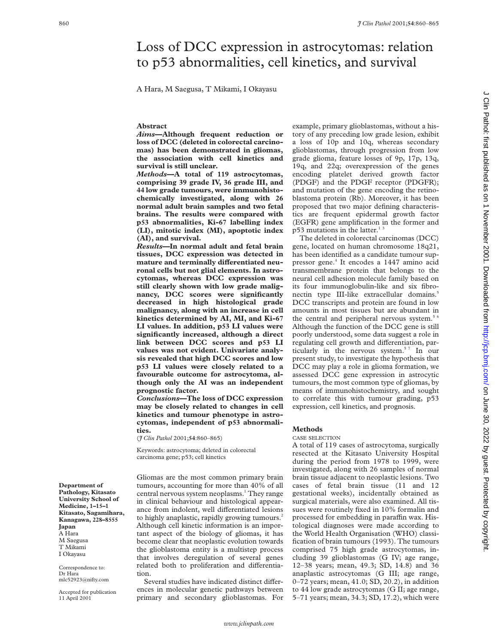# Loss of DCC expression in astrocytomas: relation to p53 abnormalities, cell kinetics, and survival

A Hara, M Saegusa, T Mikami, I Okayasu

### **Abstract**

*Aims***—Although frequent reduction or loss of DCC (deleted in colorectal carcinomas) has been demonstrated in gliomas, the association with cell kinetics and survival is still unclear.**

*Methods***—A total of 119 astrocytomas, comprising 39 grade IV, 36 grade III, and 44 low grade tumours, were immunohistochemically investigated, along with 26 normal adult brain samples and two fetal brains. The results were compared with p53 abnormalities, Ki-67 labelling index (LI), mitotic index (MI), apoptotic index (AI), and survival.**

*Results***—In normal adult and fetal brain tissues, DCC expression was detected in** mature and terminally differentiated neu**ronal cells but not glial elements. In astrocytomas, whereas DCC expression was still clearly shown with low grade malignancy, DCC scores were significantly decreased in high histological grade malignancy, along with an increase in cell kinetics determined by AI, MI, and Ki-67 LI values. In addition, p53 LI values were significantly increased, although a direct link between DCC scores and p53 LI values was not evident. Univariate analysis revealed that high DCC scores and low p53 LI values were closely related to a favourable outcome for astrocytoma, although only the AI was an independent prognostic factor.**

*Conclusions***—The loss of DCC expression may be closely related to changes in cell kinetics and tumour phenotype in astrocytomas, independent of p53 abnormalities.**

(*J Clin Pathol* 2001;**54**:860–865)

Keywords: astrocytoma; deleted in colorectal carcinoma gene; p53; cell kinetics

Gliomas are the most common primary brain tumours, accounting for more than 40% of all central nervous system neoplasms.<sup>1</sup> They range in clinical behaviour and histological appearance from indolent, well differentiated lesions to highly anaplastic, rapidly growing tumours.<sup>2</sup> Although cell kinetic information is an important aspect of the biology of gliomas, it has become clear that neoplastic evolution towards the glioblastoma entity is a multistep process that involves deregulation of several genes related both to proliferation and differentiation.

Several studies have indicated distinct differences in molecular genetic pathways between primary and secondary glioblastomas. For

example, primary glioblastomas, without a history of any preceding low grade lesion, exhibit a loss of 10p and 10q, whereas secondary glioblastomas, through progression from low grade glioma, feature losses of 9p, 17p, 13q, 19q, and 22q; overexpression of the genes encoding platelet derived growth factor (PDGF) and the PDGF receptor (PDGFR); and mutation of the gene encoding the retinoblastoma protein (Rb). Moreover, it has been proposed that two major defining characteristics are frequent epidermal growth factor (EGFR) gene amplification in the former and  $p53$  mutations in the latter.<sup>13</sup>

The deleted in colorectal carcinomas (DCC) gene, located on human chromosome 18q21, has been identified as a candidate tumour suppressor gene.4 It encodes a 1447 amino acid transmembrane protein that belongs to the neural cell adhesion molecule family based on its four immunoglobulin-like and six fibronectin type III-like extracellular domains.<sup>5</sup> DCC transcripts and protein are found in low amounts in most tissues but are abundant in the central and peripheral nervous system.<sup>5</sup> Although the function of the DCC gene is still poorly understood, some data suggest a role in regulating cell growth and differentiation, particularly in the nervous system.<sup>57</sup> In our present study, to investigate the hypothesis that DCC may play a role in glioma formation, we assessed DCC gene expression in astrocytic tumours, the most common type of gliomas, by means of immunohistochemistry, and sought to correlate this with tumour grading, p53 expression, cell kinetics, and prognosis.

### **Methods**

#### CASE SELECTION

A total of 119 cases of astrocytoma, surgically resected at the Kitasato University Hospital during the period from 1978 to 1999, were investigated, along with 26 samples of normal brain tissue adjacent to neoplastic lesions. Two cases of fetal brain tissue (11 and 12 gestational weeks), incidentally obtained as surgical materials, were also examined. All tissues were routinely fixed in 10% formalin and processed for embedding in paraffin wax. Histological diagnoses were made according to the World Health Organisation (WHO) classification of brain tumours (1993). The tumours comprised 75 high grade astrocytomas, including 39 glioblastomas (G IV; age range, 12–38 years; mean, 49.3; SD, 14.8) and 36 anaplastic astrocytomas (G III; age range, 0–72 years; mean, 41.0; SD, 20.2), in addition to 44 low grade astrocytomas (G II; age range, 5–71 years; mean, 34.3; SD, 17.2), which were

**Department of Pathology, Kitasato University School of Medicine, 1–15–1 Kitasato, Sagamihara, Kanagawa, 228–8555 Japan** A Hara M Saegusa T Mikami I Okayasu

Correspondence to: Dr Hara mlc52923@nifty.com

Accepted for publication 11 April 2001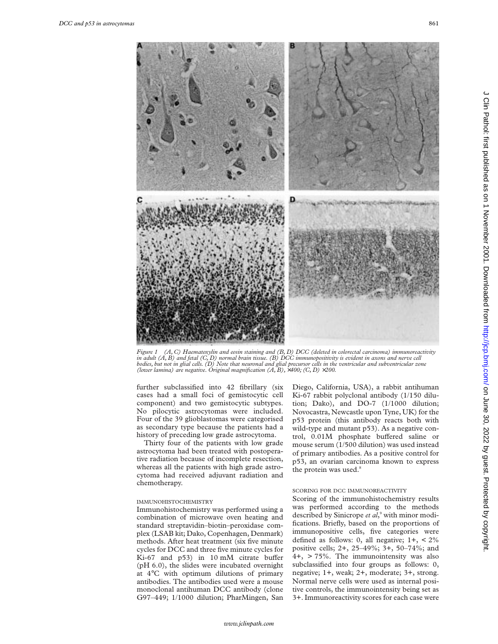

*Figure 1 (A, C) Haematoxylin and eosin staining and (B, D) DCC (deleted in colorectal carcinoma) immunoreactivity in adult (A, B) and fetal (C, D) normal brain tissue. (B) DCC immunopositivity is evident in axons and nerve cell bodies, but not in glial cells. (D) Note that neuronal and glial precursor cells in the ventricular and subventricular zone (lower lamina) are negative. Original magnification (A, B),* ×*400; (C, D)* ×*200.*

further subclassified into 42 fibrillary (six cases had a small foci of gemistocytic cell component) and two gemistocytic subtypes. No pilocytic astrocytomas were included. Four of the 39 glioblastomas were categorised as secondary type because the patients had a history of preceding low grade astrocytoma.

Thirty four of the patients with low grade astrocytoma had been treated with postoperative radiation because of incomplete resection, whereas all the patients with high grade astrocytoma had received adjuvant radiation and chemotherapy.

### IMMUNOHISTOCHEMISTRY

Immunohistochemistry was performed using a combination of microwave oven heating and standard streptavidin–biotin–peroxidase complex (LSAB kit; Dako, Copenhagen, Denmark) methods. After heat treatment (six five minute cycles for DCC and three five minute cycles for Ki-67 and  $p53$ ) in 10 mM citrate buffer (pH 6.0), the slides were incubated overnight at 4°C with optimum dilutions of primary antibodies. The antibodies used were a mouse monoclonal antihuman DCC antibody (clone G97–449; 1/1000 dilution; PharMingen, San

Diego, California, USA), a rabbit antihuman Ki-67 rabbit polyclonal antibody (1/150 dilution; Dako), and DO-7 (1/1000 dilution; Novocastra, Newcastle upon Tyne, UK) for the p53 protein (this antibody reacts both with wild-type and mutant p53). As a negative control, 0.01M phosphate buffered saline or mouse serum (1/500 dilution) was used instead of primary antibodies. As a positive control for p53, an ovarian carcinoma known to express the protein was used.<sup>8</sup>

### SCORING FOR DCC IMMUNOREACTIVITY

Scoring of the immunohistochemistry results was performed according to the methods described by Sinicrope *et al*, <sup>9</sup> with minor modifications. Briefly, based on the proportions of immunopositive cells, five categories were defined as follows: 0, all negative;  $1+$ ,  $\lt 2\%$ positive cells; 2+, 25–49%; 3+, 50–74%; and 4+, > 75%. The immunointensity was also subclassified into four groups as follows: 0, negative; 1+, weak; 2+, moderate; 3+, strong. Normal nerve cells were used as internal positive controls, the immunointensity being set as 3+. Immunoreactivity scores for each case were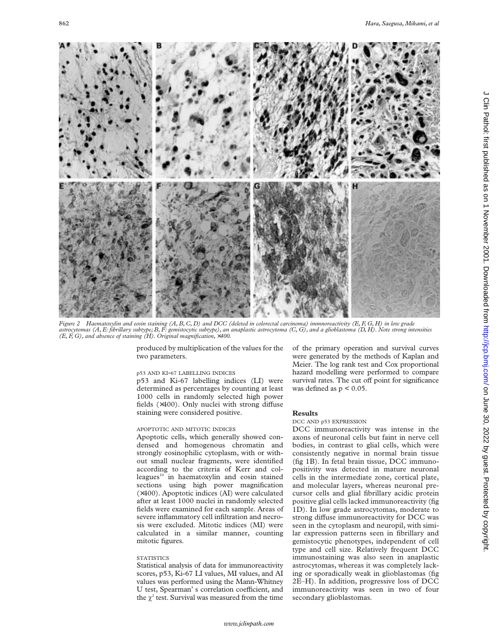

*Figure 2 Haematoxylin and eosin staining (A, B, C, D) and DCC (deleted in colorectal carcinoma) immnoreactivity (E, F, G, H) in low grade astrocytomas (A, E: fibrillary subtype; B, F: gemistocytic subtype), an anaplastic astrocytoma (C, G), and a glioblastoma (D, H). Note strong intensities (E, F, G), and absence of staining (H). Original magnification,* ×*400.*

produced by multiplication of the values for the two parameters.

## p53 AND KI-67 LABELLING INDICES

p53 and Ki-67 labelling indices (LI) were determined as percentages by counting at least 1000 cells in randomly selected high power fields  $(x400)$ . Only nuclei with strong diffuse staining were considered positive.

# APOPTOTIC AND MITOTIC INDICES

Apoptotic cells, which generally showed condensed and homogenous chromatin and strongly eosinophilic cytoplasm, with or without small nuclear fragments, were identified according to the criteria of Kerr and colleagues<sup>10</sup> in haematoxylin and eosin stained sections using high power magnification (×400). Apoptotic indices (AI) were calculated after at least 1000 nuclei in randomly selected fields were examined for each sample. Areas of severe inflammatory cell infiltration and necrosis were excluded. Mitotic indices (MI) were calculated in a similar manner, counting mitotic figures.

# **STATISTICS**

Statistical analysis of data for immunoreactivity scores, p53, Ki-67 LI values, MI values, and AI values was performed using the Mann-Whitney U test, Spearman's correlation coefficient, and the  $\chi^2$  test. Survival was measured from the time

of the primary operation and survival curves were generated by the methods of Kaplan and Meier. The log rank test and Cox proportional hazard modelling were performed to compare survival rates. The cut off point for significance was defined as  $p < 0.05$ .

### **Results**

### DCC AND p53 EXPRESSION

DCC immunoreactivity was intense in the axons of neuronal cells but faint in nerve cell bodies, in contrast to glial cells, which were consistently negative in normal brain tissue (fig 1B). In fetal brain tissue, DCC immunopositivity was detected in mature neuronal cells in the intermediate zone, cortical plate, and molecular layers, whereas neuronal precursor cells and glial fibrillary acidic protein positive glial cells lacked immunoreactivity (fig 1D). In low grade astrocytomas, moderate to strong diffuse immunoreactivity for DCC was seen in the cytoplasm and neuropil, with similar expression patterns seen in fibrillary and gemistocytic phenotypes, independent of cell type and cell size. Relatively frequent DCC immunostaining was also seen in anaplastic astrocytomas, whereas it was completely lacking or sporadically weak in glioblastomas (fig 2E–H). In addition, progressive loss of DCC immunoreactivity was seen in two of four secondary glioblastomas.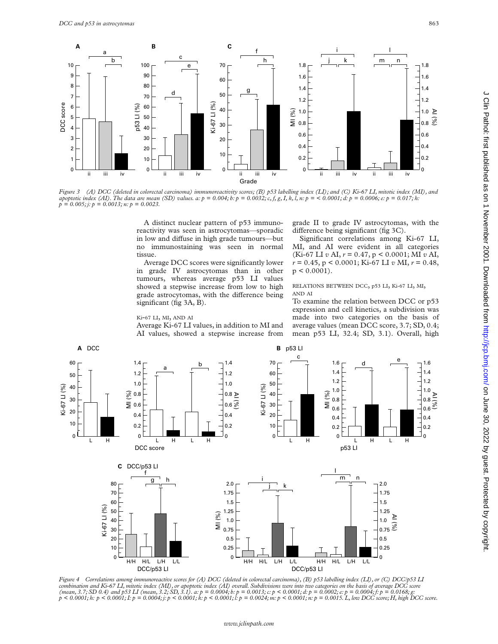

Figure 3 (A) DCC (deleted in colorectal carcinoma) immunoreactivity scores; (B) p53 labelling index (LI); and (C) Ki-67 LI, mitotic index (MI), and<br>apoptotic index (AI). The data are mean (SD) values. a: p = 0.004; b: p

A distinct nuclear pattern of p53 immunoreactivity was seen in astrocytomas—sporadic in low and diffuse in high grade tumours-but no immunostaining was seen in normal tissue.

Average DCC scores were significantly lower in grade IV astrocytomas than in other tumours, whereas average p53 LI values showed a stepwise increase from low to high grade astrocytomas, with the difference being significant (fig 3A, B).

### Ki-67 LI, MI, AND AI

Average Ki-67 LI values, in addition to MI and AI values, showed a stepwise increase from grade II to grade IV astrocytomas, with the difference being significant (fig 3C).

Significant correlations among Ki-67 LI, MI, and AI were evident in all categories (Ki-67 LI *v* AI, *r* = 0.47, p < 0.0001; MI *v* AI, *r* = 0.45, p < 0.0001; Ki-67 LI *v* MI, *r* = 0.48,  $p < 0.0001$ ).

RELATIONS BETWEEN DCC, p53 LI, Ki-67 LI, MI, AND AI

To examine the relation between DCC or p53 expression and cell kinetics, a subdivision was made into two categories on the basis of average values (mean DCC score, 3.7; SD, 0.4; mean p53 LI, 32.4; SD, 3.1). Overall, high



*Figure 4 Correlations among immunoreactive scores for (A) DCC (deleted in colorectal carcinoma), (B) p53 labelling index (LI), or (C) DCC/p53 LI*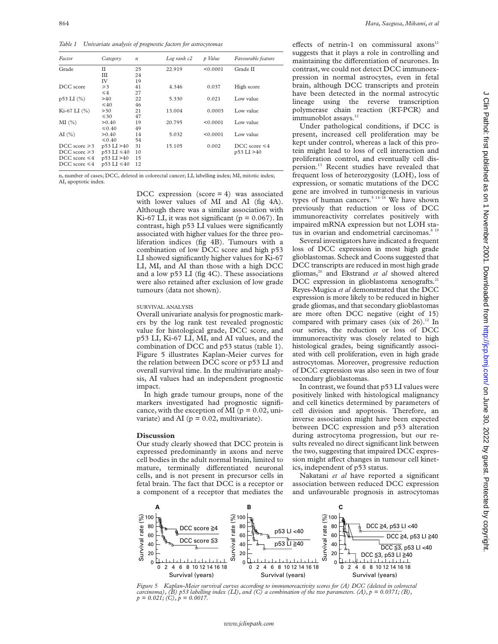*Table 1 Univariate analysis of prognostic factors for astrocytomas*

| Factor             | Category          | $\boldsymbol{n}$ | Log rank c2 | p Value  | Favourable feature |
|--------------------|-------------------|------------------|-------------|----------|--------------------|
| Grade              | П                 | 25               | 22.919      | < 0.0001 | Grade II           |
|                    | Ш                 | 24               |             |          |                    |
|                    | IV                | 19               |             |          |                    |
| DCC score          | $\geqslant$ 3     | 41               | 4.346       | 0.037    | High score         |
|                    | $\leq 4$          | 27               |             |          |                    |
| p53 LI (%)         | >40               | 22               | 5.330       | 0.021    | Low value          |
|                    | $\leq 40$         | 46               |             |          |                    |
| $Ki-67 LI (%)$     | >30               | 21               | 13.004      | 0.0003   | Low value          |
|                    | $\leq 30$         | 47               |             |          |                    |
| $MI(\%)$           | > 0.40            | 19               | 20.795      | < 0.0001 | Low value          |
|                    | $\leq 0.40$       | 49               |             |          |                    |
| AI(%)              | > 0.40            | 14               | 5.032       | < 0.0001 | Low value          |
|                    | $\leq 0.40$       | 54               |             |          |                    |
| DCC score $\geq 3$ | p53 LI >40        | 31               | 15.105      | 0.002    | DCC score $\leq 4$ |
| DCC score $\geq 3$ | $p53 L I \leq 40$ | 10               |             |          | p53 LI >40         |
| DCC score $\leq 4$ | p53 LI >40        | 15               |             |          |                    |
| DCC score $\leq 4$ | $p53 L I \leq 40$ | 12               |             |          |                    |

n, number of cases; DCC, deleted in colorectal cancer; LI, labelling index; MI, mitotic index; AI, apoptotic index.

> DCC expression (score  $= 4$ ) was associated with lower values of MI and AI (fig 4A). Although there was a similar association with Ki-67 LI, it was not significant ( $p = 0.067$ ). In contrast, high p53 LI values were significantly associated with higher values for the three proliferation indices (fig 4B). Tumours with a combination of low DCC score and high p53 LI showed significantly higher values for Ki-67 LI, MI, and AI than those with a high DCC and a low p53 LI (fig 4C). These associations were also retained after exclusion of low grade tumours (data not shown).

#### SURVIVAL ANALYSIS

Overall univariate analysis for prognostic markers by the log rank test revealed prognostic value for histological grade, DCC score, and p53 LI, Ki-67 LI, MI, and AI values, and the combination of DCC and p53 status (table 1). Figure 5 illustrates Kaplan-Meier curves for the relation between DCC score or p53 LI and overall survival time. In the multivariate analysis, AI values had an independent prognostic impact.

In high grade tumour groups, none of the markers investigated had prognostic significance, with the exception of MI ( $p = 0.02$ , univariate) and AI ( $p = 0.02$ , multivariate).

### **Discussion**

Our study clearly showed that DCC protein is expressed predominantly in axons and nerve cell bodies in the adult normal brain, limited to mature, terminally differentiated neuronal cells, and is not present in precursor cells in fetal brain. The fact that DCC is a receptor or a component of a receptor that mediates the

effects of netrin-1 on commissural axons $11$ suggests that it plays a role in controlling and maintaining the differentiation of neurones. In contrast, we could not detect DCC immunoexpression in normal astrocytes, even in fetal brain, although DCC transcripts and protein have been detected in the normal astrocytic lineage using the reverse transcription polymerase chain reaction (RT-PCR) and immunoblot assays.<sup>12</sup>

Under pathological conditions, if DCC is present, increased cell proliferation may be kept under control, whereas a lack of this protein might lead to loss of cell interaction and proliferation control, and eventually cell dispersion.13 Recent studies have revealed that frequent loss of heterozygosity (LOH), loss of expression, or somatic mutations of the DCC gene are involved in tumorigenesis in various types of human cancers.<sup>5 14-18</sup> We have shown previously that reduction or loss of DCC immunoreactivity correlates positively with impaired mRNA expression but not LOH status in ovarian and endometrial carcinomas.<sup>8 19</sup>

Several investigators have indicated a frequent loss of DCC expression in most high grade glioblastomas. Scheck and Coons suggested that DCC transcripts are reduced in most high grade gliomas,<sup>20</sup> and Ekstrand et al showed altered DCC expression in glioblastoma xenografts.<sup>21</sup> Reyes-Mugica *et al* demonstrated that the DCC expression is more likely to be reduced in higher grade gliomas, and that secondary glioblastomas are more often DCC negative (eight of 15) compared with primary cases (six of  $26$ ).<sup>12</sup> In our series, the reduction or loss of DCC immunoreactivity was closely related to high histological grades, being significantly associated with cell proliferation, even in high grade astrocytomas. Moreover, progressive reduction of DCC expression was also seen in two of four secondary glioblastomas.

In contrast, we found that p53 LI values were positively linked with histological malignancy and cell kinetics determined by parameters of cell division and apoptosis. Therefore, an inverse association might have been expected between DCC expression and p53 alteration during astrocytoma progression, but our results revealed no direct significant link between the two, suggesting that impaired DCC expression might affect changes in tumour cell kinetics, independent of p53 status.

Nakatani *et al* have reported a significant association between reduced DCC expression and unfavourable prognosis in astrocytomas



*Figure 5 Kaplan-Meier survival curves according to immunoreactivity scores for (A) DCC (deleted in colorectal carcinoma*), (B) p53 labelling index (LI), and (C) a combination of the two parameters. (A),  $p = 0.0371$ ; (B),  $p = 0.021$ ; (C),  $p = 0.0017$ .